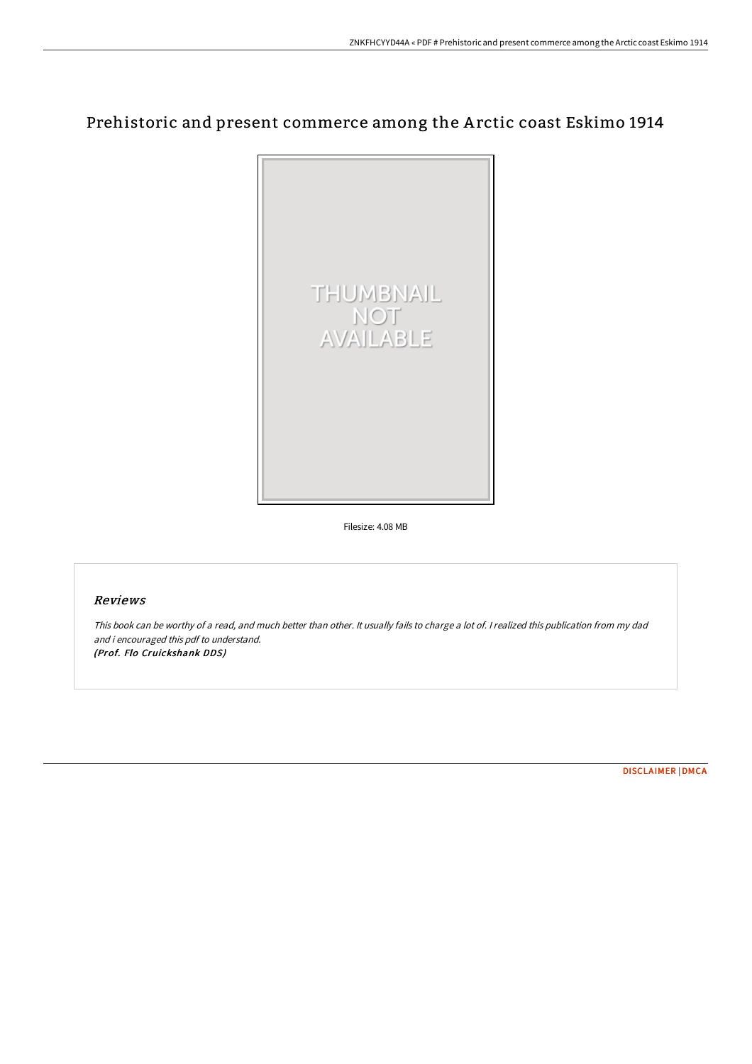# Prehistoric and present commerce among the A rctic coast Eskimo 1914



Filesize: 4.08 MB

## Reviews

This book can be worthy of <sup>a</sup> read, and much better than other. It usually fails to charge <sup>a</sup> lot of. <sup>I</sup> realized this publication from my dad and i encouraged this pdf to understand. (Prof. Flo Cruickshank DDS)

[DISCLAIMER](http://albedo.media/disclaimer.html) | [DMCA](http://albedo.media/dmca.html)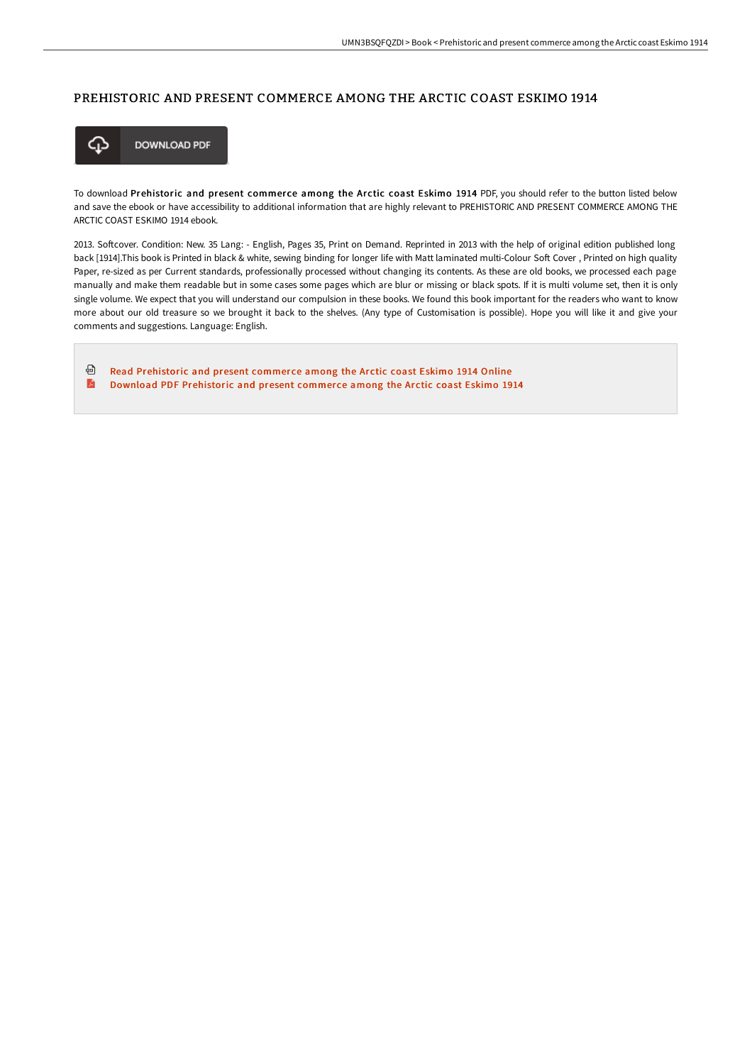## PREHISTORIC AND PRESENT COMMERCE AMONG THE ARCTIC COAST ESKIMO 1914



To download Prehistoric and present commerce among the Arctic coast Eskimo 1914 PDF, you should refer to the button listed below and save the ebook or have accessibility to additional information that are highly relevant to PREHISTORIC AND PRESENT COMMERCE AMONG THE ARCTIC COAST ESKIMO 1914 ebook.

2013. Softcover. Condition: New. 35 Lang: - English, Pages 35, Print on Demand. Reprinted in 2013 with the help of original edition published long back [1914].This book is Printed in black & white, sewing binding for longer life with Matt laminated multi-Colour Soft Cover, Printed on high quality Paper, re-sized as per Current standards, professionally processed without changing its contents. As these are old books, we processed each page manually and make them readable but in some cases some pages which are blur or missing or black spots. If it is multi volume set, then it is only single volume. We expect that you will understand our compulsion in these books. We found this book important for the readers who want to know more about our old treasure so we brought it back to the shelves. (Any type of Customisation is possible). Hope you will like it and give your comments and suggestions. Language: English.

⊕ Read [Prehistoric](http://albedo.media/prehistoric-and-present-commerce-among-the-arcti.html) and present commerce among the Arctic coast Eskimo 1914 Online A Download PDF [Prehistoric](http://albedo.media/prehistoric-and-present-commerce-among-the-arcti.html) and present commerce among the Arctic coast Eskimo 1914